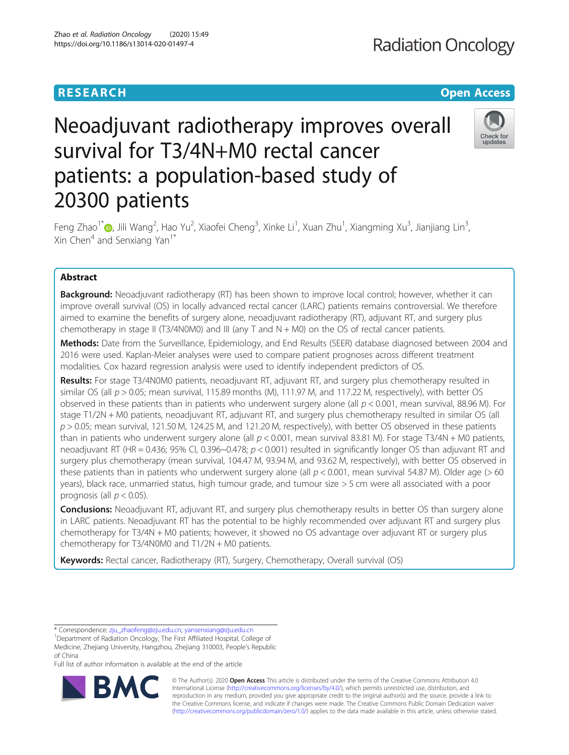# **RESEARCH CHE Open Access**

# Neoadjuvant radiotherapy improves overall survival for T3/4N+M0 rectal cancer patients: a population-based study of 20300 patients



Feng Zhao<sup>1\*</sup>@[,](http://orcid.org/0000-0002-4441-9992) Jili Wang<sup>2</sup>, Hao Yu<sup>2</sup>, Xiaofei Cheng<sup>3</sup>, Xinke Li<sup>1</sup>, Xuan Zhu<sup>1</sup>, Xiangming Xu<sup>3</sup>, Jianjiang Lin<sup>3</sup> , Xin Chen<sup>4</sup> and Senxiang Yan<sup>1\*</sup>

# Abstract

**Background:** Neoadjuvant radiotherapy (RT) has been shown to improve local control; however, whether it can improve overall survival (OS) in locally advanced rectal cancer (LARC) patients remains controversial. We therefore aimed to examine the benefits of surgery alone, neoadjuvant radiotherapy (RT), adjuvant RT, and surgery plus chemotherapy in stage II (T3/4N0M0) and III (any T and N + M0) on the OS of rectal cancer patients.

Methods: Date from the Surveillance, Epidemiology, and End Results (SEER) database diagnosed between 2004 and 2016 were used. Kaplan-Meier analyses were used to compare patient prognoses across different treatment modalities. Cox hazard regression analysis were used to identify independent predictors of OS.

Results: For stage T3/4N0M0 patients, neoadjuvant RT, adjuvant RT, and surgery plus chemotherapy resulted in similar OS (all  $p > 0.05$ ; mean survival, 115.89 months (M), 111.97 M, and 117.22 M, respectively), with better OS observed in these patients than in patients who underwent surgery alone (all  $p < 0.001$ , mean survival, 88.96 M). For stage T1/2N + M0 patients, neoadjuvant RT, adjuvant RT, and surgery plus chemotherapy resulted in similar OS (all  $p > 0.05$ ; mean survival, 121.50 M, 124.25 M, and 121.20 M, respectively), with better OS observed in these patients than in patients who underwent surgery alone (all  $p < 0.001$ , mean survival 83.81 M). For stage T3/4N + M0 patients, neoadjuvant RT (HR = 0.436; 95% CI, 0.396~0.478;  $p < 0.001$ ) resulted in significantly longer OS than adjuvant RT and surgery plus chemotherapy (mean survival, 104.47 M, 93.94 M, and 93.62 M, respectively), with better OS observed in these patients than in patients who underwent surgery alone (all  $p < 0.001$ , mean survival 54.87 M). Older age (> 60 years), black race, unmarried status, high tumour grade, and tumour size > 5 cm were all associated with a poor prognosis (all  $p < 0.05$ ).

**Conclusions:** Neoadjuvant RT, adjuvant RT, and surgery plus chemotherapy results in better OS than surgery alone in LARC patients. Neoadjuvant RT has the potential to be highly recommended over adjuvant RT and surgery plus chemotherapy for T3/4N + M0 patients; however, it showed no OS advantage over adjuvant RT or surgery plus chemotherapy for T3/4N0M0 and T1/2N + M0 patients.

Keywords: Rectal cancer, Radiotherapy (RT), Surgery, Chemotherapy, Overall survival (OS)

<sup>1</sup>Department of Radiation Oncology, The First Affiliated Hospital, College of

Full list of author information is available at the end of the article



© The Author(s). 2020 **Open Access** This article is distributed under the terms of the Creative Commons Attribution 4.0 International License [\(http://creativecommons.org/licenses/by/4.0/](http://creativecommons.org/licenses/by/4.0/)), which permits unrestricted use, distribution, and reproduction in any medium, provided you give appropriate credit to the original author(s) and the source, provide a link to the Creative Commons license, and indicate if changes were made. The Creative Commons Public Domain Dedication waiver [\(http://creativecommons.org/publicdomain/zero/1.0/](http://creativecommons.org/publicdomain/zero/1.0/)) applies to the data made available in this article, unless otherwise stated.

<sup>\*</sup> Correspondence: [zju\\_zhaofeng@zju.edu.cn;](mailto:zju_zhaofeng@zju.edu.cn) [yansenxiang@zju.edu.cn](mailto:yansenxiang@zju.edu.cn) <sup>1</sup>

Medicine, Zhejiang University, Hangzhou, Zhejiang 310003, People's Republic of China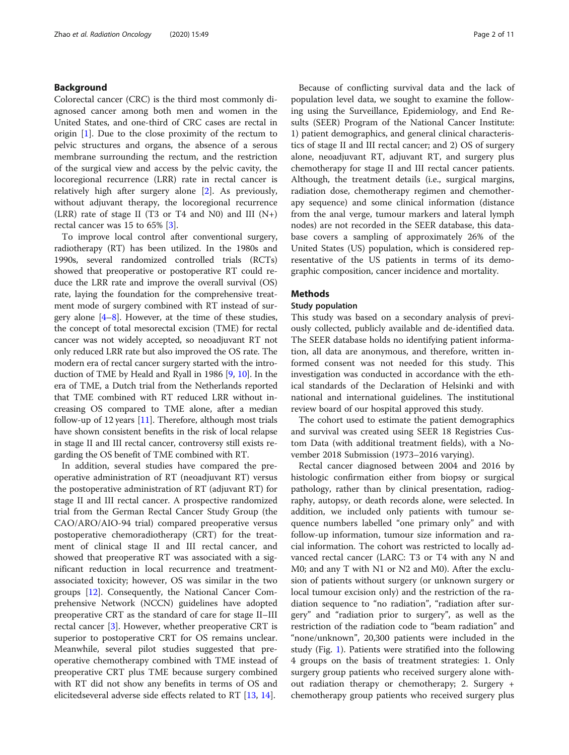# Background

Colorectal cancer (CRC) is the third most commonly diagnosed cancer among both men and women in the United States, and one-third of CRC cases are rectal in origin [[1\]](#page-9-0). Due to the close proximity of the rectum to pelvic structures and organs, the absence of a serous membrane surrounding the rectum, and the restriction of the surgical view and access by the pelvic cavity, the locoregional recurrence (LRR) rate in rectal cancer is relatively high after surgery alone [\[2](#page-9-0)]. As previously, without adjuvant therapy, the locoregional recurrence (LRR) rate of stage II (T3 or T4 and N0) and III  $(N+)$ rectal cancer was 15 to 65% [[3](#page-9-0)].

To improve local control after conventional surgery, radiotherapy (RT) has been utilized. In the 1980s and 1990s, several randomized controlled trials (RCTs) showed that preoperative or postoperative RT could reduce the LRR rate and improve the overall survival (OS) rate, laying the foundation for the comprehensive treatment mode of surgery combined with RT instead of surgery alone  $[4-8]$  $[4-8]$  $[4-8]$ . However, at the time of these studies, the concept of total mesorectal excision (TME) for rectal cancer was not widely accepted, so neoadjuvant RT not only reduced LRR rate but also improved the OS rate. The modern era of rectal cancer surgery started with the introduction of TME by Heald and Ryall in 1986 [\[9,](#page-9-0) [10](#page-9-0)]. In the era of TME, a Dutch trial from the Netherlands reported that TME combined with RT reduced LRR without increasing OS compared to TME alone, after a median follow-up of 12 years [\[11\]](#page-9-0). Therefore, although most trials have shown consistent benefits in the risk of local relapse in stage II and III rectal cancer, controversy still exists regarding the OS benefit of TME combined with RT.

In addition, several studies have compared the preoperative administration of RT (neoadjuvant RT) versus the postoperative administration of RT (adjuvant RT) for stage II and III rectal cancer. A prospective randomized trial from the German Rectal Cancer Study Group (the CAO/ARO/AIO-94 trial) compared preoperative versus postoperative chemoradiotherapy (CRT) for the treatment of clinical stage II and III rectal cancer, and showed that preoperative RT was associated with a significant reduction in local recurrence and treatmentassociated toxicity; however, OS was similar in the two groups [[12](#page-9-0)]. Consequently, the National Cancer Comprehensive Network (NCCN) guidelines have adopted preoperative CRT as the standard of care for stage II–III rectal cancer [[3\]](#page-9-0). However, whether preoperative CRT is superior to postoperative CRT for OS remains unclear. Meanwhile, several pilot studies suggested that preoperative chemotherapy combined with TME instead of preoperative CRT plus TME because surgery combined with RT did not show any benefits in terms of OS and elicitedseveral adverse side effects related to RT [\[13](#page-9-0), [14](#page-9-0)].

Because of conflicting survival data and the lack of population level data, we sought to examine the following using the Surveillance, Epidemiology, and End Results (SEER) Program of the National Cancer Institute: 1) patient demographics, and general clinical characteristics of stage II and III rectal cancer; and 2) OS of surgery alone, neoadjuvant RT, adjuvant RT, and surgery plus chemotherapy for stage II and III rectal cancer patients. Although, the treatment details (i.e., surgical margins, radiation dose, chemotherapy regimen and chemotherapy sequence) and some clinical information (distance from the anal verge, tumour markers and lateral lymph nodes) are not recorded in the SEER database, this database covers a sampling of approximately 26% of the United States (US) population, which is considered representative of the US patients in terms of its demographic composition, cancer incidence and mortality.

#### Methods

#### Study population

This study was based on a secondary analysis of previously collected, publicly available and de-identified data. The SEER database holds no identifying patient information, all data are anonymous, and therefore, written informed consent was not needed for this study. This investigation was conducted in accordance with the ethical standards of the Declaration of Helsinki and with national and international guidelines. The institutional review board of our hospital approved this study.

The cohort used to estimate the patient demographics and survival was created using SEER 18 Registries Custom Data (with additional treatment fields), with a November 2018 Submission (1973–2016 varying).

Rectal cancer diagnosed between 2004 and 2016 by histologic confirmation either from biopsy or surgical pathology, rather than by clinical presentation, radiography, autopsy, or death records alone, were selected. In addition, we included only patients with tumour sequence numbers labelled "one primary only" and with follow-up information, tumour size information and racial information. The cohort was restricted to locally advanced rectal cancer (LARC: T3 or T4 with any N and M0; and any T with N1 or N2 and M0). After the exclusion of patients without surgery (or unknown surgery or local tumour excision only) and the restriction of the radiation sequence to "no radiation", "radiation after surgery" and "radiation prior to surgery", as well as the restriction of the radiation code to "beam radiation" and "none/unknown", 20,300 patients were included in the study (Fig. [1\)](#page-2-0). Patients were stratified into the following 4 groups on the basis of treatment strategies: 1. Only surgery group patients who received surgery alone without radiation therapy or chemotherapy; 2. Surgery + chemotherapy group patients who received surgery plus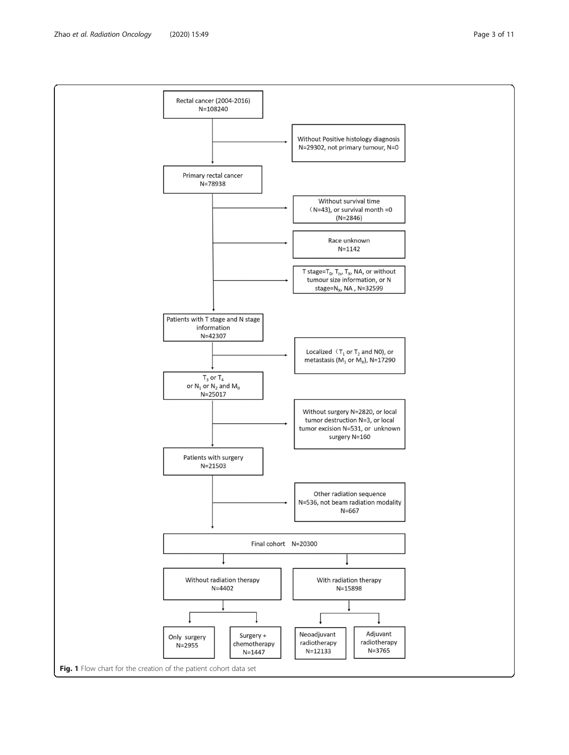<span id="page-2-0"></span>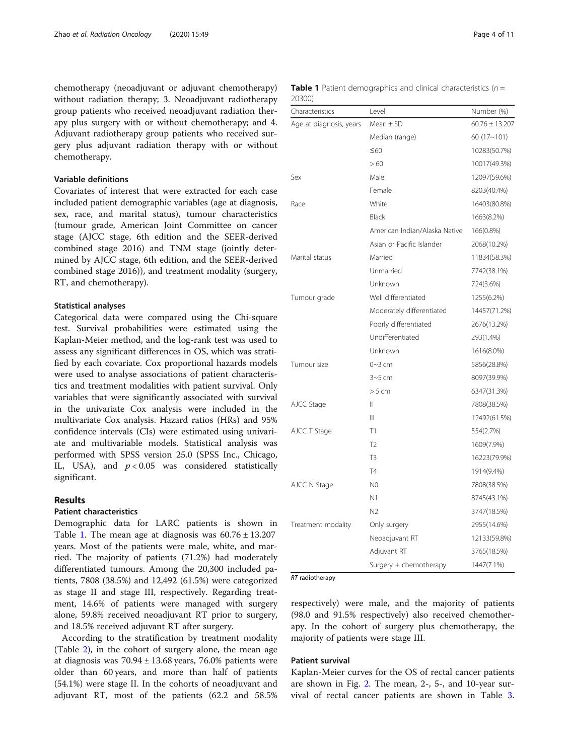chemotherapy (neoadjuvant or adjuvant chemotherapy) without radiation therapy; 3. Neoadjuvant radiotherapy group patients who received neoadjuvant radiation therapy plus surgery with or without chemotherapy; and 4. Adjuvant radiotherapy group patients who received surgery plus adjuvant radiation therapy with or without chemotherapy.

## Variable definitions

Covariates of interest that were extracted for each case included patient demographic variables (age at diagnosis, sex, race, and marital status), tumour characteristics (tumour grade, American Joint Committee on cancer stage (AJCC stage, 6th edition and the SEER-derived combined stage 2016) and TNM stage (jointly determined by AJCC stage, 6th edition, and the SEER-derived combined stage 2016)), and treatment modality (surgery, RT, and chemotherapy).

#### Statistical analyses

Categorical data were compared using the Chi-square test. Survival probabilities were estimated using the Kaplan-Meier method, and the log-rank test was used to assess any significant differences in OS, which was stratified by each covariate. Cox proportional hazards models were used to analyse associations of patient characteristics and treatment modalities with patient survival. Only variables that were significantly associated with survival in the univariate Cox analysis were included in the multivariate Cox analysis. Hazard ratios (HRs) and 95% confidence intervals (CIs) were estimated using univariate and multivariable models. Statistical analysis was performed with SPSS version 25.0 (SPSS Inc., Chicago, IL, USA), and  $p < 0.05$  was considered statistically significant.

# Results

# Patient characteristics

Demographic data for LARC patients is shown in Table 1. The mean age at diagnosis was  $60.76 \pm 13.207$ years. Most of the patients were male, white, and married. The majority of patients (71.2%) had moderately differentiated tumours. Among the 20,300 included patients, 7808 (38.5%) and 12,492 (61.5%) were categorized as stage II and stage III, respectively. Regarding treatment, 14.6% of patients were managed with surgery alone, 59.8% received neoadjuvant RT prior to surgery, and 18.5% received adjuvant RT after surgery.

According to the stratification by treatment modality (Table [2\)](#page-4-0), in the cohort of surgery alone, the mean age at diagnosis was  $70.94 \pm 13.68$  years,  $76.0\%$  patients were older than 60 years, and more than half of patients (54.1%) were stage II. In the cohorts of neoadjuvant and adjuvant RT, most of the patients (62.2 and 58.5%

|        | <b>Table 1</b> Patient demographics and clinical characteristics (n = |  |  |
|--------|-----------------------------------------------------------------------|--|--|
| 20300) |                                                                       |  |  |

| Characteristics         | Level                         | Number (%)         |
|-------------------------|-------------------------------|--------------------|
| Age at diagnosis, years | Mean $\pm$ SD                 | $60.76 \pm 13.207$ |
|                         | Median (range)                | 60(17~101)         |
|                         | $\leq 60$                     | 10283(50.7%)       |
|                         | >60                           | 10017(49.3%)       |
| Sex                     | Male                          | 12097(59.6%)       |
|                         | Female                        | 8203(40.4%)        |
| Race                    | White                         | 16403(80.8%)       |
|                         | <b>Black</b>                  | 1663(8.2%)         |
|                         | American Indian/Alaska Native | 166(0.8%)          |
|                         | Asian or Pacific Islander     | 2068(10.2%)        |
| Marital status          | Married                       | 11834(58.3%)       |
|                         | Unmarried                     | 7742(38.1%)        |
|                         | Unknown                       | 724(3.6%)          |
| Tumour grade            | Well differentiated           | 1255(6.2%)         |
|                         | Moderately differentiated     | 14457(71.2%)       |
|                         | Poorly differentiated         | 2676(13.2%)        |
|                         | Undifferentiated              | 293(1.4%)          |
|                         | Unknown                       | 1616(8.0%)         |
| Tumour size             | $0-3$ cm                      | 5856(28.8%)        |
|                         | $3-5$ cm                      | 8097(39.9%)        |
|                         | > 5 cm                        | 6347(31.3%)        |
| AJCC Stage              | Ш                             | 7808(38.5%)        |
|                         | $\mathbb{H}$                  | 12492(61.5%)       |
| AJCC T Stage            | T1                            | 554(2.7%)          |
|                         | T <sub>2</sub>                | 1609(7.9%)         |
|                         | T <sub>3</sub>                | 16223(79.9%)       |
|                         | <b>T4</b>                     | 1914(9.4%)         |
| AJCC N Stage            | N <sub>0</sub>                | 7808(38.5%)        |
|                         | N <sub>1</sub>                | 8745(43.1%)        |
|                         | N <sub>2</sub>                | 3747(18.5%)        |
| Treatment modality      | Only surgery                  | 2955(14.6%)        |
|                         | Neoadjuvant RT                | 12133(59.8%)       |
|                         | Adjuvant RT                   | 3765(18.5%)        |
|                         | Surgery + chemotherapy        | 1447(7.1%)         |

RT radiotherapy

respectively) were male, and the majority of patients (98.0 and 91.5% respectively) also received chemotherapy. In the cohort of surgery plus chemotherapy, the majority of patients were stage III.

#### Patient survival

Kaplan-Meier curves for the OS of rectal cancer patients are shown in Fig. [2](#page-5-0). The mean, 2-, 5-, and 10-year survival of rectal cancer patients are shown in Table [3](#page-5-0).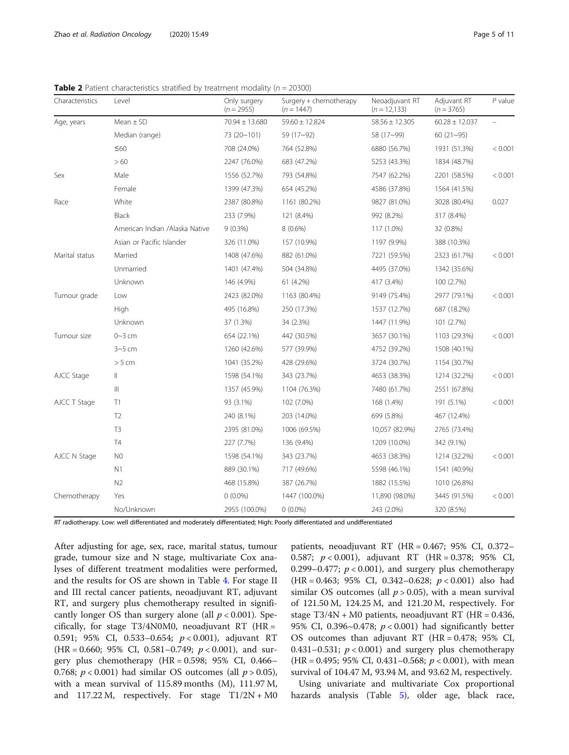<span id="page-4-0"></span>**Table 2** Patient characteristics stratified by treatment modality ( $n = 20300$ )

| Characteristics | Level                          | Only surgery<br>$(n = 2955)$ | Surgery + chemotherapy<br>$(n = 1447)$ | Neoadjuvant RT<br>$(n = 12, 133)$ | Adjuvant RT<br>$(n = 3765)$ | $P$ value |
|-----------------|--------------------------------|------------------------------|----------------------------------------|-----------------------------------|-----------------------------|-----------|
| Age, years      | $Mean \pm SD$                  | 70.94 ± 13.680               | $59.60 \pm 12.824$                     | $58.56 \pm 12.305$                | $60.28 \pm 12.037$          |           |
|                 | Median (range)                 | 73 (20~101)                  | 59 (17~92)                             | 58 (17~99)                        | 60 $(21 - 95)$              |           |
|                 | $\leq 60$                      | 708 (24.0%)                  | 764 (52.8%)                            | 6880 (56.7%)                      | 1931 (51.3%)                | < 0.001   |
|                 | >60                            | 2247 (76.0%)                 | 683 (47.2%)                            | 5253 (43.3%)                      | 1834 (48.7%)                |           |
| Sex             | Male                           | 1556 (52.7%)                 | 793 (54.8%)                            | 7547 (62.2%)                      | 2201 (58.5%)                | < 0.001   |
|                 | Female                         | 1399 (47.3%)                 | 654 (45.2%)                            | 4586 (37.8%)                      | 1564 (41.5%)                |           |
| Race            | White                          | 2387 (80.8%)                 | 1161 (80.2%)                           | 9827 (81.0%)                      | 3028 (80.4%)                | 0.027     |
|                 | Black                          | 233 (7.9%)                   | 121 (8.4%)                             | 992 (8.2%)                        | 317 (8.4%)                  |           |
|                 | American Indian /Alaska Native | $9(0.3\%)$                   | 8 (0.6%)                               | 117 (1.0%)                        | 32 (0.8%)                   |           |
|                 | Asian or Pacific Islander      | 326 (11.0%)                  | 157 (10.9%)                            | 1197 (9.9%)                       | 388 (10.3%)                 |           |
| Marital status  | Married                        | 1408 (47.6%)                 | 882 (61.0%)                            | 7221 (59.5%)                      | 2323 (61.7%)                | < 0.001   |
|                 | Unmarried                      | 1401 (47.4%)                 | 504 (34.8%)                            | 4495 (37.0%)                      | 1342 (35.6%)                |           |
|                 | Unknown                        | 146 (4.9%)                   | 61 (4.2%)                              | 417 (3.4%)                        | 100 (2.7%)                  |           |
| Tumour grade    | Low                            | 2423 (82.0%)                 | 1163 (80.4%)                           | 9149 (75.4%)                      | 2977 (79.1%)                | < 0.001   |
|                 | High                           | 495 (16.8%)                  | 250 (17.3%)                            | 1537 (12.7%)                      | 687 (18.2%)                 |           |
|                 | Unknown                        | 37 (1.3%)                    | 34 (2.3%)                              | 1447 (11.9%)                      | 101 (2.7%)                  |           |
| Tumour size     | $0 - 3$ cm                     | 654 (22.1%)                  | 442 (30.5%)                            | 3657 (30.1%)                      | 1103 (29.3%)                | < 0.001   |
|                 | $3-5$ cm                       | 1260 (42.6%)                 | 577 (39.9%)                            | 4752 (39.2%)                      | 1508 (40.1%)                |           |
|                 | > 5 cm                         | 1041 (35.2%)                 | 428 (29.6%)                            | 3724 (30.7%)                      | 1154 (30.7%)                |           |
| AJCC Stage      | $\mathbb{H}$                   | 1598 (54.1%)                 | 343 (23.7%)                            | 4653 (38.3%)                      | 1214 (32.2%)                | < 0.001   |
|                 | $\left\  {}\right\ $           | 1357 (45.9%)                 | 1104 (76.3%)                           | 7480 (61.7%)                      | 2551 (67.8%)                |           |
| AJCC T Stage    | T1                             | 93 (3.1%)                    | 102 (7.0%)                             | 168 (1.4%)                        | 191 (5.1%)                  | < 0.001   |
|                 | T <sub>2</sub>                 | 240 (8.1%)                   | 203 (14.0%)                            | 699 (5.8%)                        | 467 (12.4%)                 |           |
|                 | T <sub>3</sub>                 | 2395 (81.0%)                 | 1006 (69.5%)                           | 10,057 (82.9%)                    | 2765 (73.4%)                |           |
|                 | T <sub>4</sub>                 | 227 (7.7%)                   | 136 (9.4%)                             | 1209 (10.0%)                      | 342 (9.1%)                  |           |
| AJCC N Stage    | N <sub>0</sub>                 | 1598 (54.1%)                 | 343 (23.7%)                            | 4653 (38.3%)                      | 1214 (32.2%)                | < 0.001   |
|                 | N1                             | 889 (30.1%)                  | 717 (49.6%)                            | 5598 (46.1%)                      | 1541 (40.9%)                |           |
|                 | N <sub>2</sub>                 | 468 (15.8%)                  | 387 (26.7%)                            | 1882 (15.5%)                      | 1010 (26.8%)                |           |
| Chemotherapy    | Yes                            | $0(0.0\%)$                   | 1447 (100.0%)                          | 11,890 (98.0%)                    | 3445 (91.5%)                | < 0.001   |
|                 | No/Unknown                     | 2955 (100.0%)                | $0(0.0\%)$                             | 243 (2.0%)                        | 320 (8.5%)                  |           |

RT radiotherapy. Low: well differentiated and moderately differentiated; High: Poorly differentiated and undifferentiated

After adjusting for age, sex, race, marital status, tumour grade, tumour size and N stage, multivariate Cox analyses of different treatment modalities were performed, and the results for OS are shown in Table [4](#page-6-0). For stage II and III rectal cancer patients, neoadjuvant RT, adjuvant RT, and surgery plus chemotherapy resulted in significantly longer OS than surgery alone (all  $p < 0.001$ ). Specifically, for stage T3/4N0M0, neoadjuvant RT ( $HR =$ 0.591; 95% CI, 0.533–0.654; p < 0.001), adjuvant RT  $(HR = 0.660; 95\% \text{ CI}, 0.581-0.749; p < 0.001)$ , and surgery plus chemotherapy  $(HR = 0.598; 95\% \text{ CI}, 0.466-$ 0.768;  $p < 0.001$ ) had similar OS outcomes (all  $p > 0.05$ ), with a mean survival of 115.89 months (M), 111.97 M, and  $117.22 \text{ M}$ , respectively. For stage  $T1/2N + M0$  patients, neoadjuvant RT (HR = 0.467; 95% CI, 0.372– 0.587; p < 0.001), adjuvant RT (HR = 0.378; 95% CI, 0.299–0.477;  $p < 0.001$ ), and surgery plus chemotherapy  $(HR = 0.463; 95\% \text{ CI}, 0.342 - 0.628; p < 0.001)$  also had similar OS outcomes (all  $p > 0.05$ ), with a mean survival of 121.50 M, 124.25 M, and 121.20 M, respectively. For stage  $T3/4N + M0$  patients, neoadjuvant RT (HR = 0.436, 95% CI, 0.396~0.478;  $p < 0.001$ ) had significantly better OS outcomes than adjuvant RT (HR = 0.478; 95% CI, 0.431–0.531;  $p < 0.001$ ) and surgery plus chemotherapy  $(HR = 0.495; 95\% \text{ CI}, 0.431-0.568; p < 0.001)$ , with mean survival of 104.47 M, 93.94 M, and 93.62 M, respectively.

Using univariate and multivariate Cox proportional hazards analysis (Table [5](#page-6-0)), older age, black race,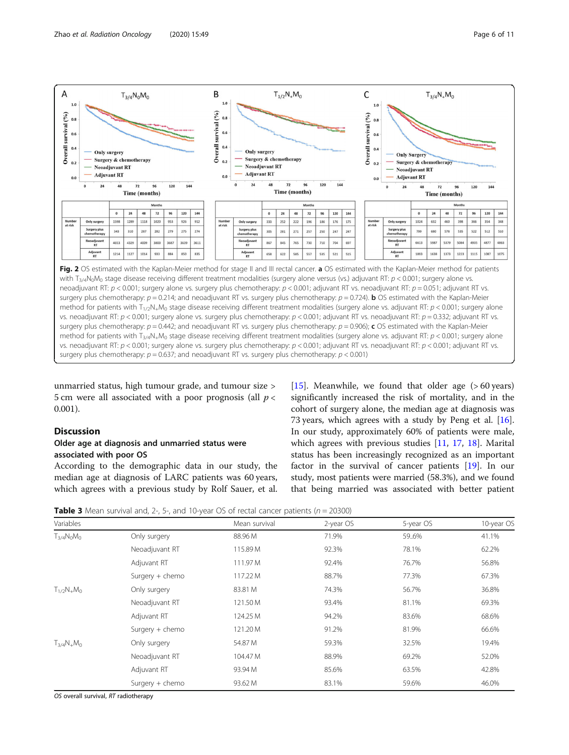<span id="page-5-0"></span>

surgery plus chemotherapy:  $p = 0.442$ ; and neoadjuvant RT vs. surgery plus chemotherapy:  $p = 0.906$ ); c OS estimated with the Kaplan-Meier method for patients with T<sub>3/4</sub>N<sub>+</sub>M<sub>0</sub> stage disease receiving different treatment modalities (surgery alone vs. adjuvant RT:  $p$  < 0.001; surgery alone vs. neoadjuvant RT:  $p < 0.001$ ; surgery alone vs. surgery plus chemotherapy:  $p < 0.001$ ; adjuvant RT vs. neoadjuvant RT:  $p < 0.001$ ; adjuvant RT vs. surgery plus chemotherapy:  $p = 0.637$ ; and neoadjuvant RT vs. surgery plus chemotherapy:  $p < 0.001$ )

unmarried status, high tumour grade, and tumour size > 5 cm were all associated with a poor prognosis (all  $p <$ 0.001).

# Discussion

# Older age at diagnosis and unmarried status were associated with poor OS

According to the demographic data in our study, the median age at diagnosis of LARC patients was 60 years, which agrees with a previous study by Rolf Sauer, et al. [[15\]](#page-9-0). Meanwhile, we found that older age  $(>60 \text{ years})$ significantly increased the risk of mortality, and in the cohort of surgery alone, the median age at diagnosis was 73 years, which agrees with a study by Peng et al. [\[16](#page-9-0)]. In our study, approximately 60% of patients were male, which agrees with previous studies [[11,](#page-9-0) [17,](#page-9-0) [18](#page-9-0)]. Marital status has been increasingly recognized as an important factor in the survival of cancer patients [\[19](#page-9-0)]. In our study, most patients were married (58.3%), and we found that being married was associated with better patient

**Table 3** Mean survival and, 2-, 5-, and 10-year OS of rectal cancer patients ( $n = 20300$ )

| Variables           |                 | Mean survival | 2-year OS | 5-year OS | 10-year OS |
|---------------------|-----------------|---------------|-----------|-----------|------------|
| $T_{3/4}N_0M_0$     | Only surgery    | 88.96 M       | 71.9%     | 59.6%     | 41.1%      |
|                     | Neoadjuvant RT  | 115.89 M      | 92.3%     | 78.1%     | 62.2%      |
|                     | Adjuvant RT     | 111.97 M      | 92.4%     | 76.7%     | 56.8%      |
|                     | Surgery + chemo | 117.22 M      | 88.7%     | 77.3%     | 67.3%      |
| $T_{1/2}N_{+}M_{0}$ | Only surgery    | 83.81 M       | 74.3%     | 56.7%     | 36.8%      |
|                     | Neoadjuvant RT  | 121.50 M      | 93.4%     | 81.1%     | 69.3%      |
|                     | Adjuvant RT     | 124.25 M      | 94.2%     | 83.6%     | 68.6%      |
|                     | Surgery + chemo | 121.20 M      | 91.2%     | 81.9%     | 66.6%      |
| $T_{3/4}N_{+}M_{0}$ | Only surgery    | 54.87 M       | 59.3%     | 32.5%     | 19.4%      |
|                     | Neoadjuvant RT  | 104.47 M      | 88.9%     | 69.2%     | 52.0%      |
|                     | Adjuvant RT     | 93.94 M       | 85.6%     | 63.5%     | 42.8%      |
|                     | Surgery + chemo | 93.62 M       | 83.1%     | 59.6%     | 46.0%      |

OS overall survival, RT radiotherapy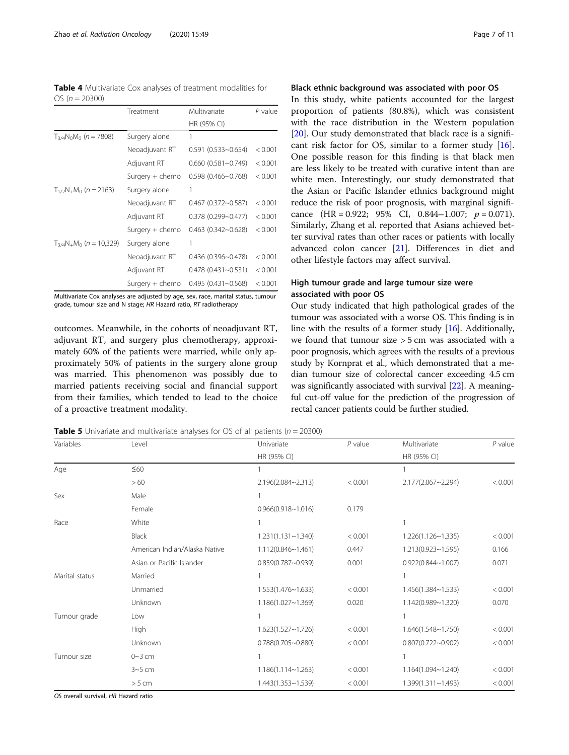<span id="page-6-0"></span>Table 4 Multivariate Cox analyses of treatment modalities for OS  $(n = 20300)$ 

|                                | Treatment         | Multivariate                 | P value |
|--------------------------------|-------------------|------------------------------|---------|
|                                |                   | HR (95% CI)                  |         |
| $T_{3/4}N_0M_0$ (n = 7808)     | Surgery alone     | 1                            |         |
|                                | Neoadjuvant RT    | $0.591(0.533 - 0.654)$       | < 0.001 |
|                                | Adjuvant RT       | $0.660$ $(0.581 - 0.749)$    | < 0.001 |
|                                | Surgery $+$ chemo | $0.598(0.466 - 0.768)$       | < 0.001 |
| $T_{1/2}N_{+}M_0$ (n = 2163)   | Surgery alone     | 1                            |         |
|                                | Neoadjuvant RT    | $0.467$ (0.372~0.587)        | < 0.001 |
|                                | Adjuvant RT       | 0.378 (0.299~0.477)          | < 0.001 |
|                                | Surgery $+$ chemo | $0.463$ $(0.342 \sim 0.628)$ | < 0.001 |
| $T_{3/4}N_{+}M_0$ (n = 10,329) | Surgery alone     | 1                            |         |
|                                | Neoadjuvant RT    | $0.436(0.396 \sim 0.478)$    | < 0.001 |
|                                | Adjuvant RT       | $0.478(0.431 - 0.531)$       | < 0.001 |
|                                | Surgery + chemo   | $0.495(0.431 - 0.568)$       | < 0.001 |

Multivariate Cox analyses are adjusted by age, sex, race, marital status, tumour grade, tumour size and N stage; HR Hazard ratio, RT radiotherapy

outcomes. Meanwhile, in the cohorts of neoadjuvant RT, adjuvant RT, and surgery plus chemotherapy, approximately 60% of the patients were married, while only approximately 50% of patients in the surgery alone group was married. This phenomenon was possibly due to married patients receiving social and financial support from their families, which tended to lead to the choice of a proactive treatment modality.

# Black ethnic background was associated with poor OS

In this study, white patients accounted for the largest proportion of patients (80.8%), which was consistent with the race distribution in the Western population [[20\]](#page-9-0). Our study demonstrated that black race is a significant risk factor for OS, similar to a former study [\[16](#page-9-0)]. One possible reason for this finding is that black men are less likely to be treated with curative intent than are white men. Interestingly, our study demonstrated that the Asian or Pacific Islander ethnics background might reduce the risk of poor prognosis, with marginal significance  $(HR = 0.922; 95\% \text{ CI}, 0.844-1.007; p = 0.071).$ Similarly, Zhang et al. reported that Asians achieved better survival rates than other races or patients with locally advanced colon cancer [\[21\]](#page-9-0). Differences in diet and other lifestyle factors may affect survival.

# High tumour grade and large tumour size were associated with poor OS

Our study indicated that high pathological grades of the tumour was associated with a worse OS. This finding is in line with the results of a former study [\[16\]](#page-9-0). Additionally, we found that tumour size > 5 cm was associated with a poor prognosis, which agrees with the results of a previous study by Kornprat et al., which demonstrated that a median tumour size of colorectal cancer exceeding 4.5 cm was significantly associated with survival [\[22\]](#page-9-0). A meaningful cut-off value for the prediction of the progression of rectal cancer patients could be further studied.

**Table 5** Univariate and multivariate analyses for OS of all patients ( $n = 20300$ )

| Variables      | Level                         | Univariate                | $P$ value | Multivariate              | $P$ value |
|----------------|-------------------------------|---------------------------|-----------|---------------------------|-----------|
|                |                               | HR (95% CI)               |           | HR (95% CI)               |           |
| Age            | $\leq 60$                     |                           |           |                           |           |
|                | >60                           | $2.196(2.084 \sim 2.313)$ | < 0.001   | 2.177(2.067~2.294)        | < 0.001   |
| Sex            | Male                          |                           |           |                           |           |
|                | Female                        | $0.966(0.918 - 1.016)$    | 0.179     |                           |           |
| Race           | White                         |                           |           |                           |           |
|                | Black                         | $1.231(1.131 \sim 1.340)$ | < 0.001   | $1.226(1.126 \sim 1.335)$ | < 0.001   |
|                | American Indian/Alaska Native | $1.112(0.846 \sim 1.461)$ | 0.447     | 1.213(0.923~1.595)        | 0.166     |
|                | Asian or Pacific Islander     | $0.859(0.787 - 0.939)$    | 0.001     | $0.922(0.844 - 1.007)$    | 0.071     |
| Marital status | Married                       |                           |           |                           |           |
|                | Unmarried                     | $1.553(1.476 \sim 1.633)$ | < 0.001   | 1.456(1.384~1.533)        | < 0.001   |
|                | Unknown                       | $1.186(1.027 - 1.369)$    | 0.020     | 1.142(0.989~1.320)        | 0.070     |
| Tumour grade   | Low                           |                           |           |                           |           |
|                | High                          | 1.623(1.527~1.726)        | < 0.001   | 1.646(1.548~1.750)        | < 0.001   |
|                | Unknown                       | $0.788(0.705 - 0.880)$    | < 0.001   | $0.807(0.722 - 0.902)$    | < 0.001   |
| Tumour size    | $0-3$ cm                      |                           |           |                           |           |
|                | $35$ cm                       | 1.186(1.114~1.263)        | < 0.001   | $1.164(1.094 \sim 1.240)$ | < 0.001   |
|                | > 5 cm                        | $1.443(1.353 \sim 1.539)$ | < 0.001   | $1.399(1.311 \sim 1.493)$ | < 0.001   |

OS overall survival, HR Hazard ratio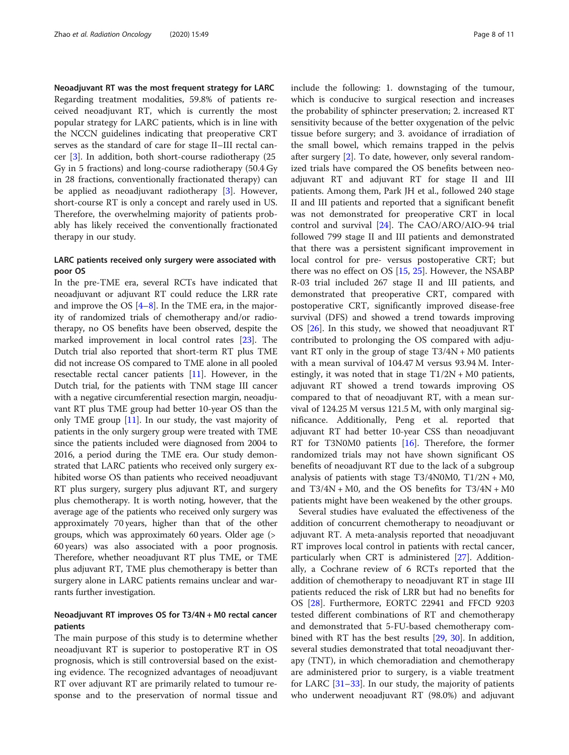Neoadjuvant RT was the most frequent strategy for LARC Regarding treatment modalities, 59.8% of patients received neoadjuvant RT, which is currently the most popular strategy for LARC patients, which is in line with the NCCN guidelines indicating that preoperative CRT serves as the standard of care for stage II–III rectal cancer [\[3](#page-9-0)]. In addition, both short-course radiotherapy (25 Gy in 5 fractions) and long-course radiotherapy (50.4 Gy in 28 fractions, conventionally fractionated therapy) can be applied as neoadjuvant radiotherapy [\[3](#page-9-0)]. However, short-course RT is only a concept and rarely used in US. Therefore, the overwhelming majority of patients probably has likely received the conventionally fractionated therapy in our study.

# LARC patients received only surgery were associated with poor OS

In the pre-TME era, several RCTs have indicated that neoadjuvant or adjuvant RT could reduce the LRR rate and improve the OS  $[4-8]$  $[4-8]$  $[4-8]$  $[4-8]$  $[4-8]$ . In the TME era, in the majority of randomized trials of chemotherapy and/or radiotherapy, no OS benefits have been observed, despite the marked improvement in local control rates [[23](#page-9-0)]. The Dutch trial also reported that short-term RT plus TME did not increase OS compared to TME alone in all pooled resectable rectal cancer patients [[11](#page-9-0)]. However, in the Dutch trial, for the patients with TNM stage III cancer with a negative circumferential resection margin, neoadjuvant RT plus TME group had better 10-year OS than the only TME group [\[11\]](#page-9-0). In our study, the vast majority of patients in the only surgery group were treated with TME since the patients included were diagnosed from 2004 to 2016, a period during the TME era. Our study demonstrated that LARC patients who received only surgery exhibited worse OS than patients who received neoadjuvant RT plus surgery, surgery plus adjuvant RT, and surgery plus chemotherapy. It is worth noting, however, that the average age of the patients who received only surgery was approximately 70 years, higher than that of the other groups, which was approximately 60 years. Older age (> 60 years) was also associated with a poor prognosis. Therefore, whether neoadjuvant RT plus TME, or TME plus adjuvant RT, TME plus chemotherapy is better than surgery alone in LARC patients remains unclear and warrants further investigation.

# Neoadjuvant RT improves OS for T3/4N + M0 rectal cancer patients

The main purpose of this study is to determine whether neoadjuvant RT is superior to postoperative RT in OS prognosis, which is still controversial based on the existing evidence. The recognized advantages of neoadjuvant RT over adjuvant RT are primarily related to tumour response and to the preservation of normal tissue and include the following: 1. downstaging of the tumour, which is conducive to surgical resection and increases the probability of sphincter preservation; 2. increased RT sensitivity because of the better oxygenation of the pelvic tissue before surgery; and 3. avoidance of irradiation of the small bowel, which remains trapped in the pelvis after surgery [\[2](#page-9-0)]. To date, however, only several randomized trials have compared the OS benefits between neoadjuvant RT and adjuvant RT for stage II and III patients. Among them, Park JH et al., followed 240 stage II and III patients and reported that a significant benefit was not demonstrated for preoperative CRT in local control and survival [\[24\]](#page-9-0). The CAO/ARO/AIO-94 trial followed 799 stage II and III patients and demonstrated that there was a persistent significant improvement in local control for pre- versus postoperative CRT; but there was no effect on OS [\[15](#page-9-0), [25](#page-9-0)]. However, the NSABP R-03 trial included 267 stage II and III patients, and demonstrated that preoperative CRT, compared with postoperative CRT, significantly improved disease-free survival (DFS) and showed a trend towards improving OS [\[26](#page-9-0)]. In this study, we showed that neoadjuvant RT contributed to prolonging the OS compared with adjuvant RT only in the group of stage  $T3/4N + M0$  patients with a mean survival of 104.47 M versus 93.94 M. Interestingly, it was noted that in stage  $T1/2N + M0$  patients, adjuvant RT showed a trend towards improving OS compared to that of neoadjuvant RT, with a mean survival of 124.25 M versus 121.5 M, with only marginal significance. Additionally, Peng et al. reported that adjuvant RT had better 10-year CSS than neoadjuvant RT for T3N0M0 patients [[16\]](#page-9-0). Therefore, the former randomized trials may not have shown significant OS benefits of neoadjuvant RT due to the lack of a subgroup analysis of patients with stage  $T3/4N0M0$ ,  $T1/2N + M0$ , and T3/4N + M0, and the OS benefits for T3/4N + M0 patients might have been weakened by the other groups.

Several studies have evaluated the effectiveness of the addition of concurrent chemotherapy to neoadjuvant or adjuvant RT. A meta-analysis reported that neoadjuvant RT improves local control in patients with rectal cancer, particularly when CRT is administered [[27\]](#page-9-0). Additionally, a Cochrane review of 6 RCTs reported that the addition of chemotherapy to neoadjuvant RT in stage III patients reduced the risk of LRR but had no benefits for OS [\[28](#page-9-0)]. Furthermore, EORTC 22941 and FFCD 9203 tested different combinations of RT and chemotherapy and demonstrated that 5-FU-based chemotherapy combined with RT has the best results [\[29,](#page-9-0) [30](#page-9-0)]. In addition, several studies demonstrated that total neoadjuvant therapy (TNT), in which chemoradiation and chemotherapy are administered prior to surgery, is a viable treatment for LARC  $[31-33]$  $[31-33]$  $[31-33]$ . In our study, the majority of patients who underwent neoadjuvant RT (98.0%) and adjuvant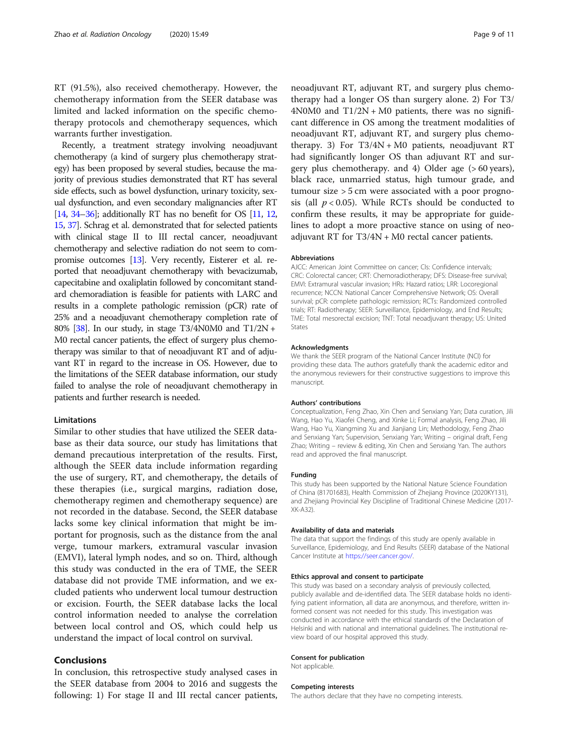RT (91.5%), also received chemotherapy. However, the chemotherapy information from the SEER database was limited and lacked information on the specific chemotherapy protocols and chemotherapy sequences, which warrants further investigation.

Recently, a treatment strategy involving neoadjuvant chemotherapy (a kind of surgery plus chemotherapy strategy) has been proposed by several studies, because the majority of previous studies demonstrated that RT has several side effects, such as bowel dysfunction, urinary toxicity, sexual dysfunction, and even secondary malignancies after RT [[14,](#page-9-0) [34](#page-10-0)–[36\]](#page-10-0); additionally RT has no benefit for OS  $[11, 12, 12]$  $[11, 12, 12]$  $[11, 12, 12]$  $[11, 12, 12]$ [15](#page-9-0), [37](#page-10-0)]. Schrag et al. demonstrated that for selected patients with clinical stage II to III rectal cancer, neoadjuvant chemotherapy and selective radiation do not seem to compromise outcomes [\[13](#page-9-0)]. Very recently, Eisterer et al. reported that neoadjuvant chemotherapy with bevacizumab, capecitabine and oxaliplatin followed by concomitant standard chemoradiation is feasible for patients with LARC and results in a complete pathologic remission (pCR) rate of 25% and a neoadjuvant chemotherapy completion rate of 80% [\[38\]](#page-10-0). In our study, in stage T3/4N0M0 and T1/2N + M0 rectal cancer patients, the effect of surgery plus chemotherapy was similar to that of neoadjuvant RT and of adjuvant RT in regard to the increase in OS. However, due to the limitations of the SEER database information, our study failed to analyse the role of neoadjuvant chemotherapy in patients and further research is needed.

#### Limitations

Similar to other studies that have utilized the SEER database as their data source, our study has limitations that demand precautious interpretation of the results. First, although the SEER data include information regarding the use of surgery, RT, and chemotherapy, the details of these therapies (i.e., surgical margins, radiation dose, chemotherapy regimen and chemotherapy sequence) are not recorded in the database. Second, the SEER database lacks some key clinical information that might be important for prognosis, such as the distance from the anal verge, tumour markers, extramural vascular invasion (EMVI), lateral lymph nodes, and so on. Third, although this study was conducted in the era of TME, the SEER database did not provide TME information, and we excluded patients who underwent local tumour destruction or excision. Fourth, the SEER database lacks the local control information needed to analyse the correlation between local control and OS, which could help us understand the impact of local control on survival.

### Conclusions

In conclusion, this retrospective study analysed cases in the SEER database from 2004 to 2016 and suggests the following: 1) For stage II and III rectal cancer patients,

neoadjuvant RT, adjuvant RT, and surgery plus chemotherapy had a longer OS than surgery alone. 2) For T3/  $4N0M0$  and  $T1/2N + M0$  patients, there was no significant difference in OS among the treatment modalities of neoadjuvant RT, adjuvant RT, and surgery plus chemotherapy. 3) For  $T3/4N + M0$  patients, neoadjuvant RT had significantly longer OS than adjuvant RT and surgery plus chemotherapy. and 4) Older age (> 60 years), black race, unmarried status, high tumour grade, and tumour size > 5 cm were associated with a poor prognosis (all  $p < 0.05$ ). While RCTs should be conducted to confirm these results, it may be appropriate for guidelines to adopt a more proactive stance on using of neoadjuvant RT for T3/4N + M0 rectal cancer patients.

#### Abbreviations

AJCC: American Joint Committee on cancer; CIs: Confidence intervals; CRC: Colorectal cancer; CRT: Chemoradiotherapy; DFS: Disease-free survival; EMVI: Extramural vascular invasion; HRs: Hazard ratios; LRR: Locoregional recurrence; NCCN: National Cancer Comprehensive Network; OS: Overall survival; pCR: complete pathologic remission; RCTs: Randomized controlled trials; RT: Radiotherapy; SEER: Surveillance, Epidemiology, and End Results; TME: Total mesorectal excision; TNT: Total neoadjuvant therapy; US: United States

#### Acknowledgments

We thank the SEER program of the National Cancer Institute (NCI) for providing these data. The authors gratefully thank the academic editor and the anonymous reviewers for their constructive suggestions to improve this manuscript.

#### Authors' contributions

Conceptualization, Feng Zhao, Xin Chen and Senxiang Yan; Data curation, Jili Wang, Hao Yu, Xiaofei Cheng, and Xinke Li; Formal analysis, Feng Zhao, Jili Wang, Hao Yu, Xiangming Xu and Jianjiang Lin; Methodology, Feng Zhao and Senxiang Yan; Supervision, Senxiang Yan; Writing – original draft, Feng Zhao; Writing – review & editing, Xin Chen and Senxiang Yan. The authors read and approved the final manuscript.

#### Funding

This study has been supported by the National Nature Science Foundation of China (81701683), Health Commission of Zhejiang Province (2020KY131), and Zhejiang Provincial Key Discipline of Traditional Chinese Medicine (2017- XK-A32).

#### Availability of data and materials

The data that support the findings of this study are openly available in Surveillance, Epidemiology, and End Results (SEER) database of the National Cancer Institute at <https://seer.cancer.gov/>.

#### Ethics approval and consent to participate

This study was based on a secondary analysis of previously collected, publicly available and de-identified data. The SEER database holds no identifying patient information, all data are anonymous, and therefore, written informed consent was not needed for this study. This investigation was conducted in accordance with the ethical standards of the Declaration of Helsinki and with national and international guidelines. The institutional review board of our hospital approved this study.

#### Consent for publication

Not applicable.

#### Competing interests

The authors declare that they have no competing interests.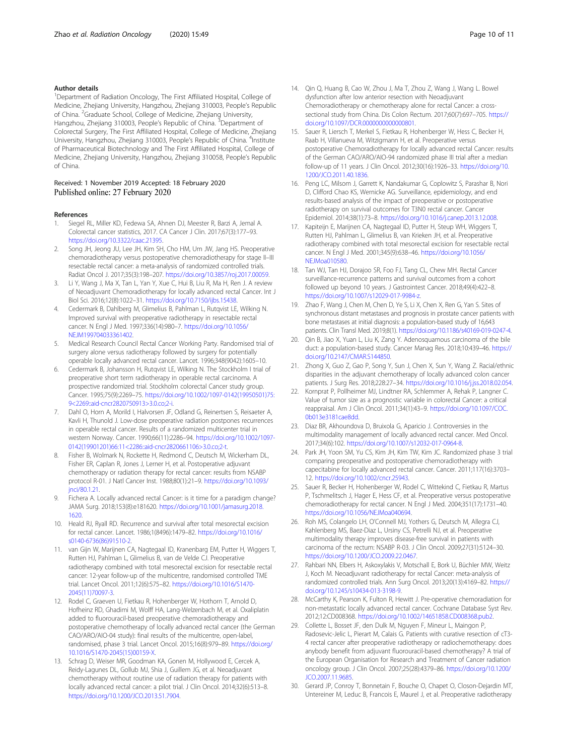#### <span id="page-9-0"></span>Author details

<sup>1</sup>Department of Radiation Oncology, The First Affiliated Hospital, College of Medicine, Zhejiang University, Hangzhou, Zhejiang 310003, People's Republic of China. <sup>2</sup>Graduate School, College of Medicine, Zhejiang University, Hangzhou, Zhejiang 310003, People's Republic of China. <sup>3</sup>Department of Colorectal Surgery, The First Affiliated Hospital, College of Medicine, Zhejiang University, Hangzhou, Zhejiang 310003, People's Republic of China. <sup>4</sup>Institute of Pharmaceutical Biotechnology and The First Affiliated Hospital, College of Medicine, Zhejiang University, Hangzhou, Zhejiang 310058, People's Republic of China.

#### Received: 1 November 2019 Accepted: 18 February 2020 Published online: 27 February 2020

#### References

- 1. Siegel RL, Miller KD, Fedewa SA, Ahnen DJ, Meester R, Barzi A, Jemal A. Colorectal cancer statistics, 2017. CA Cancer J Clin. 2017;67(3):177–93. [https://doi.org/10.3322/caac.21395.](https://doi.org/10.3322/caac.21395)
- 2. Song JH, Jeong JU, Lee JH, Kim SH, Cho HM, Um JW, Jang HS. Preoperative chemoradiotherapy versus postoperative chemoradiotherapy for stage II–III resectable rectal cancer: a meta-analysis of randomized controlled trials. Radiat Oncol J. 2017;35(3):198–207. <https://doi.org/10.3857/roj.2017.00059>.
- 3. Li Y, Wang J, Ma X, Tan L, Yan Y, Xue C, Hui B, Liu R, Ma H, Ren J. A review of Neoadjuvant Chemoradiotherapy for locally advanced rectal Cancer. Int J Biol Sci. 2016;12(8):1022–31. [https://doi.org/10.7150/ijbs.15438.](https://doi.org/10.7150/ijbs.15438)
- 4. Cedermark B, Dahlberg M, Glimelius B, Pahlman L, Rutqvist LE, Wilking N. Improved survival with preoperative radiotherapy in resectable rectal cancer. N Engl J Med. 1997;336(14):980–7. [https://doi.org/10.1056/](https://doi.org/10.1056/NEJM199704033361402) [NEJM199704033361402.](https://doi.org/10.1056/NEJM199704033361402)
- 5. Medical Research Council Rectal Cancer Working Party. Randomised trial of surgery alone versus radiotherapy followed by surgery for potentially operable locally advanced rectal cancer. Lancet. 1996;348(9042):1605–10.
- 6. Cedermark B, Johansson H, Rutqvist LE, Wilking N. The Stockholm I trial of preoperative short term radiotherapy in operable rectal carcinoma. A prospective randomized trial. Stockholm colorectal Cancer study group. Cancer. 1995;75(9):2269–75. [https://doi.org/10.1002/1097-0142\(19950501\)75:](https://doi.org/10.1002/1097-0142(19950501)75:9<2269::aid-cncr2820750913>3.0.co;2-i) [9<2269::aid-cncr2820750913>3.0.co;2-i.](https://doi.org/10.1002/1097-0142(19950501)75:9<2269::aid-cncr2820750913>3.0.co;2-i)
- Dahl O, Horn A, Morild I, Halvorsen JF, Odland G, Reinertsen S, Reisaeter A, Kavli H, Thunold J. Low-dose preoperative radiation postpones recurrences in operable rectal cancer. Results of a randomized multicenter trial in western Norway. Cancer. 1990;66(11):2286–94. [https://doi.org/10.1002/1097-](https://doi.org/10.1002/1097-0142(19901201)66:11<2286::aid-cncr2820661106>3.0.co;2-t) [0142\(19901201\)66:11<2286::aid-cncr2820661106>3.0.co;2-t](https://doi.org/10.1002/1097-0142(19901201)66:11<2286::aid-cncr2820661106>3.0.co;2-t).
- 8. Fisher B, Wolmark N, Rockette H, Redmond C, Deutsch M, Wickerham DL, Fisher ER, Caplan R, Jones J, Lerner H, et al. Postoperative adjuvant chemotherapy or radiation therapy for rectal cancer: results from NSABP protocol R-01. J Natl Cancer Inst. 1988;80(1):21–9. [https://doi.org/10.1093/](https://doi.org/10.1093/jnci/80.1.21) [jnci/80.1.21](https://doi.org/10.1093/jnci/80.1.21).
- Fichera A. Locally advanced rectal Cancer: is it time for a paradigm change? JAMA Surg. 2018;153(8):e181620. [https://doi.org/10.1001/jamasurg.2018.](https://doi.org/10.1001/jamasurg.2018.1620) [1620](https://doi.org/10.1001/jamasurg.2018.1620).
- 10. Heald RJ, Ryall RD. Recurrence and survival after total mesorectal excision for rectal cancer. Lancet. 1986;1(8496):1479–82. [https://doi.org/10.1016/](https://doi.org/10.1016/s0140-6736(86)91510-2) [s0140-6736\(86\)91510-2.](https://doi.org/10.1016/s0140-6736(86)91510-2)
- 11. van Gijn W, Marijnen CA, Nagtegaal ID, Kranenbarg EM, Putter H, Wiggers T, Rutten HJ, Pahlman L, Glimelius B, van de Velde CJ. Preoperative radiotherapy combined with total mesorectal excision for resectable rectal cancer: 12-year follow-up of the multicentre, randomised controlled TME trial. Lancet Oncol. 2011;12(6):575–82. [https://doi.org/10.1016/S1470-](https://doi.org/10.1016/S1470-2045(11)70097-3) [2045\(11\)70097-3](https://doi.org/10.1016/S1470-2045(11)70097-3).
- 12. Rodel C, Graeven U, Fietkau R, Hohenberger W, Hothorn T, Arnold D, Hofheinz RD, Ghadimi M, Wolff HA, Lang-Welzenbach M, et al. Oxaliplatin added to fluorouracil-based preoperative chemoradiotherapy and postoperative chemotherapy of locally advanced rectal cancer (the German CAO/ARO/AIO-04 study): final results of the multicentre, open-label, randomised, phase 3 trial. Lancet Oncol. 2015;16(8):979–89. [https://doi.org/](https://doi.org/10.1016/S1470-2045(15)00159-X) [10.1016/S1470-2045\(15\)00159-X.](https://doi.org/10.1016/S1470-2045(15)00159-X)
- 13. Schrag D, Weiser MR, Goodman KA, Gonen M, Hollywood E, Cercek A, Reidy-Lagunes DL, Gollub MJ, Shia J, Guillem JG, et al. Neoadjuvant chemotherapy without routine use of radiation therapy for patients with locally advanced rectal cancer: a pilot trial. J Clin Oncol. 2014;32(6):513–8. [https://doi.org/10.1200/JCO.2013.51.7904.](https://doi.org/10.1200/JCO.2013.51.7904)
- 14. Qin Q, Huang B, Cao W, Zhou J, Ma T, Zhou Z, Wang J, Wang L. Bowel dysfunction after low anterior resection with Neoadjuvant Chemoradiotherapy or chemotherapy alone for rectal Cancer: a crosssectional study from China. Dis Colon Rectum. 2017;60(7):697–705. [https://](https://doi.org/10.1097/DCR.0000000000000801) [doi.org/10.1097/DCR.0000000000000801](https://doi.org/10.1097/DCR.0000000000000801).
- 15. Sauer R, Liersch T, Merkel S, Fietkau R, Hohenberger W, Hess C, Becker H, Raab H, Villanueva M, Witzigmann H, et al. Preoperative versus postoperative Chemoradiotherapy for locally advanced rectal Cancer: results of the German CAO/ARO/AIO-94 randomized phase III trial after a median follow-up of 11 years. J Clin Oncol. 2012;30(16):1926–33. [https://doi.org/10.](https://doi.org/10.1200/JCO.2011.40.1836) [1200/JCO.2011.40.1836.](https://doi.org/10.1200/JCO.2011.40.1836)
- 16. Peng LC, Milsom J, Garrett K, Nandakumar G, Coplowitz S, Parashar B, Nori D, Clifford Chao KS, Wernicke AG. Surveillance, epidemiology, and end results-based analysis of the impact of preoperative or postoperative radiotherapy on survival outcomes for T3N0 rectal cancer. Cancer Epidemiol. 2014;38(1):73–8. <https://doi.org/10.1016/j.canep.2013.12.008>.
- 17. Kapiteijn E, Marijnen CA, Nagtegaal ID, Putter H, Steup WH, Wiggers T, Rutten HJ, Pahlman L, Glimelius B, van Krieken JH, et al. Preoperative radiotherapy combined with total mesorectal excision for resectable rectal cancer. N Engl J Med. 2001;345(9):638–46. [https://doi.org/10.1056/](https://doi.org/10.1056/NEJMoa010580) [NEJMoa010580.](https://doi.org/10.1056/NEJMoa010580)
- 18. Tan WJ, Tan HJ, Dorajoo SR, Foo FJ, Tang CL, Chew MH. Rectal Cancer surveillance-recurrence patterns and survival outcomes from a cohort followed up beyond 10 years. J Gastrointest Cancer. 2018;49(4):422–8. [https://doi.org/10.1007/s12029-017-9984-z.](https://doi.org/10.1007/s12029-017-9984-z)
- 19. Zhao F, Wang J, Chen M, Chen D, Ye S, Li X, Chen X, Ren G, Yan S. Sites of synchronous distant metastases and prognosis in prostate cancer patients with bone metastases at initial diagnosis: a population-based study of 16,643 patients. Clin Transl Med. 2019;8(1). [https://doi.org/10.1186/s40169-019-0247-4.](https://doi.org/10.1186/s40169-019-0247-4)
- 20. Qin B, Jiao X, Yuan L, Liu K, Zang Y. Adenosquamous carcinoma of the bile duct: a population-based study. Cancer Manag Res. 2018;10:439–46. [https://](https://doi.org/10.2147/CMAR.S144850) [doi.org/10.2147/CMAR.S144850](https://doi.org/10.2147/CMAR.S144850).
- 21. Zhong X, Guo Z, Gao P, Song Y, Sun J, Chen X, Sun Y, Wang Z. Racial/ethnic disparities in the adjuvant chemotherapy of locally advanced colon cancer patients. J Surg Res. 2018;228:27–34. [https://doi.org/10.1016/j.jss.2018.02.054.](https://doi.org/10.1016/j.jss.2018.02.054)
- 22. Kornprat P, Pollheimer MJ, Lindtner RA, Schlemmer A, Rehak P, Langner C. Value of tumor size as a prognostic variable in colorectal Cancer: a critical reappraisal. Am J Clin Oncol. 2011;34(1):43–9. [https://doi.org/10.1097/COC.](https://doi.org/10.1097/COC.0b013e3181cae8dd) [0b013e3181cae8dd](https://doi.org/10.1097/COC.0b013e3181cae8dd).
- 23. Diaz BR, Akhoundova D, Bruixola G, Aparicio J. Controversies in the multimodality management of locally advanced rectal cancer. Med Oncol. 2017;34(6):102. [https://doi.org/10.1007/s12032-017-0964-8.](https://doi.org/10.1007/s12032-017-0964-8)
- 24. Park JH, Yoon SM, Yu CS, Kim JH, Kim TW, Kim JC. Randomized phase 3 trial comparing preoperative and postoperative chemoradiotherapy with capecitabine for locally advanced rectal cancer. Cancer. 2011;117(16):3703– 12. <https://doi.org/10.1002/cncr.25943>.
- 25. Sauer R, Becker H, Hohenberger W, Rodel C, Wittekind C, Fietkau R, Martus P, Tschmelitsch J, Hager E, Hess CF, et al. Preoperative versus postoperative chemoradiotherapy for rectal cancer. N Engl J Med. 2004;351(17):1731–40. <https://doi.org/10.1056/NEJMoa040694>.
- 26. Roh MS, Colangelo LH, O'Connell MJ, Yothers G, Deutsch M, Allegra CJ, Kahlenberg MS, Baez-Diaz L, Ursiny CS, Petrelli NJ, et al. Preoperative multimodality therapy improves disease-free survival in patients with carcinoma of the rectum: NSABP R-03. J Clin Oncol. 2009;27(31):5124–30. [https://doi.org/10.1200/JCO.2009.22.0467.](https://doi.org/10.1200/JCO.2009.22.0467)
- 27. Rahbari NN, Elbers H, Askoxylakis V, Motschall E, Bork U, Büchler MW, Weitz J, Koch M. Neoadjuvant radiotherapy for rectal Cancer: meta-analysis of randomized controlled trials. Ann Surg Oncol. 2013;20(13):4169–82. [https://](https://doi.org/10.1245/s10434-013-3198-9) [doi.org/10.1245/s10434-013-3198-9.](https://doi.org/10.1245/s10434-013-3198-9)
- 28. McCarthy K, Pearson K, Fulton R, Hewitt J. Pre-operative chemoradiation for non-metastatic locally advanced rectal cancer. Cochrane Database Syst Rev. 2012;12:CD008368. [https://doi.org/10.1002/14651858.CD008368.pub2.](https://doi.org/10.1002/14651858.CD008368.pub2)
- 29. Collette L, Bosset JF, den Dulk M, Nguyen F, Mineur L, Maingon P, Radosevic-Jelic L, Pierart M, Calais G. Patients with curative resection of cT3- 4 rectal cancer after preoperative radiotherapy or radiochemotherapy: does anybody benefit from adjuvant fluorouracil-based chemotherapy? A trial of the European Organisation for Research and Treatment of Cancer radiation oncology group. J Clin Oncol. 2007;25(28):4379–86. [https://doi.org/10.1200/](https://doi.org/10.1200/JCO.2007.11.9685) [JCO.2007.11.9685.](https://doi.org/10.1200/JCO.2007.11.9685)
- 30. Gerard JP, Conroy T, Bonnetain F, Bouche O, Chapet O, Closon-Dejardin MT, Untereiner M, Leduc B, Francois E, Maurel J, et al. Preoperative radiotherapy